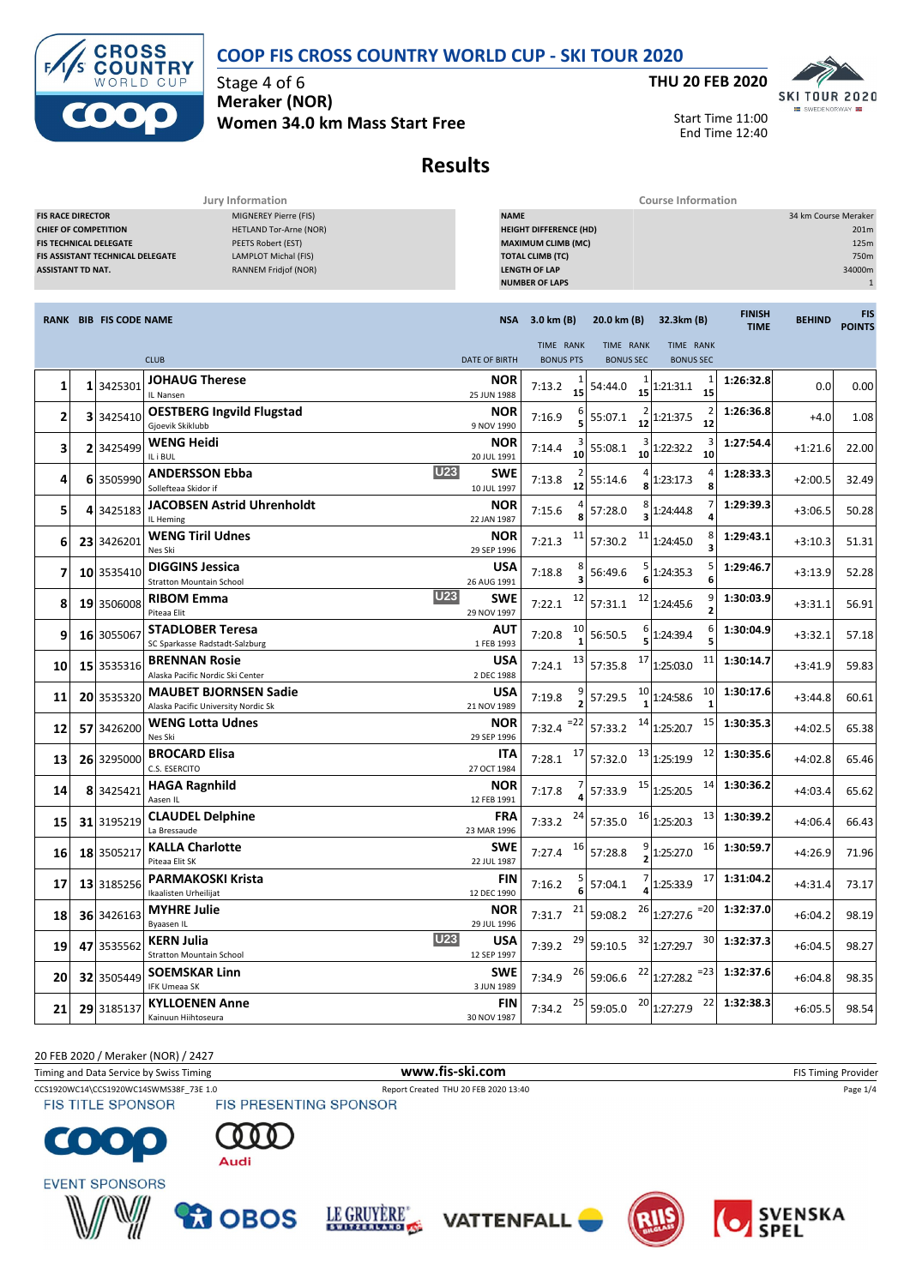**COOP FIS CROSS COUNTRY WORLD CUP - SKI TOUR 2020**



Stage 4 of 6 **Meraker (NOR) Women 34.0 km Mass Start Free**



Start Time 11:00 End Time 12:40

# **Results**

**Jury Information Course Information**

| <b>FIS RACE DIRECTOR</b><br><b>MIGNEREY Pierre (FIS)</b><br><b>CHIEF OF COMPETITION</b><br><b>HETLAND Tor-Arne (NOR)</b><br>FIS TECHNICAL DELEGATE<br>PEETS Robert (EST)<br>LAMPLOT Michal (FIS)<br>FIS ASSISTANT TECHNICAL DELEGATE<br><b>ASSISTANT TD NAT.</b><br>RANNEM Fridjof (NOR) |  |                               |                                                                     |                           | <b>NAME</b><br><b>HEIGHT DIFFERENCE (HD)</b><br><b>MAXIMUM CLIMB (MC)</b><br><b>TOTAL CLIMB (TC)</b><br><b>LENGTH OF LAP</b><br><b>NUMBER OF LAPS</b> |                               |                                                   |                              |               |                             |  |
|------------------------------------------------------------------------------------------------------------------------------------------------------------------------------------------------------------------------------------------------------------------------------------------|--|-------------------------------|---------------------------------------------------------------------|---------------------------|-------------------------------------------------------------------------------------------------------------------------------------------------------|-------------------------------|---------------------------------------------------|------------------------------|---------------|-----------------------------|--|
|                                                                                                                                                                                                                                                                                          |  | <b>RANK BIB FIS CODE NAME</b> |                                                                     |                           | NSA 3.0 km (B)                                                                                                                                        | 20.0 km (B)                   | 32.3km (B)                                        | <b>FINISH</b><br><b>TIME</b> | <b>BEHIND</b> | <b>FIS</b><br><b>POINTS</b> |  |
|                                                                                                                                                                                                                                                                                          |  |                               | <b>CLUB</b>                                                         | <b>DATE OF BIRTH</b>      | TIME RANK<br><b>BONUS PTS</b>                                                                                                                         | TIME RANK<br><b>BONUS SEC</b> | TIME RANK<br><b>BONUS SEC</b>                     |                              |               |                             |  |
| 1                                                                                                                                                                                                                                                                                        |  | 1 3425301                     | <b>JOHAUG Therese</b>                                               | NOR                       | 7:13.2                                                                                                                                                | 54:44.0                       | 1<br>1:21:31.1                                    | 1:26:32.8                    | 0.0           | 0.00                        |  |
|                                                                                                                                                                                                                                                                                          |  |                               | IL Nansen                                                           | 25 JUN 1988               | 15                                                                                                                                                    | 15                            | 15                                                |                              |               |                             |  |
| 2                                                                                                                                                                                                                                                                                        |  | 3 3425410                     | <b>OESTBERG Ingvild Flugstad</b><br>Gjoevik Skiklubb                | NOR<br>9 NOV 1990         | 7:16.9                                                                                                                                                | 55:07.1<br>12                 | 1:21:37.5<br>12                                   | 1:26:36.8                    | $+4.0$        | 1.08                        |  |
| 3                                                                                                                                                                                                                                                                                        |  | 2 3425499                     | <b>WENG Heidi</b><br>IL i BUL                                       | <b>NOR</b><br>20 JUL 1991 | 7:14.4<br>10                                                                                                                                          | 55:08.1<br>10                 | 3<br>1:22:32.2<br>10                              | 1:27:54.4                    | $+1:21.6$     | 22.00                       |  |
| 4                                                                                                                                                                                                                                                                                        |  | 6 3505990                     | <b>U23</b><br><b>ANDERSSON Ebba</b><br>Sollefteaa Skidor if         | SWE<br>10 JUL 1997        | 7:13.8<br>12                                                                                                                                          | 55:14.6                       | 1:23:17.3<br>8                                    | 1:28:33.3                    | $+2:00.5$     | 32.49                       |  |
| 5                                                                                                                                                                                                                                                                                        |  | 4 3425183                     | <b>JACOBSEN Astrid Uhrenholdt</b><br>IL Heming                      | <b>NOR</b><br>22 JAN 1987 | 7:15.6                                                                                                                                                | 57:28.0                       | 1:24:44.8                                         | 1:29:39.3                    | $+3:06.5$     | 50.28                       |  |
| 6                                                                                                                                                                                                                                                                                        |  | 23 3426201                    | <b>WENG Tiril Udnes</b><br>Nes Ski                                  | NOR<br>29 SEP 1996        | 11<br>7:21.3                                                                                                                                          | 11<br>57:30.2                 | 8<br>1:24:45.0<br>З                               | 1:29:43.1                    | $+3:10.3$     | 51.31                       |  |
| 7                                                                                                                                                                                                                                                                                        |  | 10 3535410                    | <b>DIGGINS Jessica</b><br><b>Stratton Mountain School</b>           | USA<br>26 AUG 1991        | 7:18.8                                                                                                                                                | 56:49.6                       | 5<br>1:24:35.3<br>6                               | 1:29:46.7                    | $+3:13.9$     | 52.28                       |  |
| 8                                                                                                                                                                                                                                                                                        |  | 19 3506008                    | <b>U23</b><br><b>RIBOM Emma</b><br>Piteaa Elit                      | <b>SWE</b><br>29 NOV 1997 | 12<br>7:22.1                                                                                                                                          | 12<br>57:31.1                 | 1:24:45.6                                         | 1:30:03.9                    | $+3:31.1$     | 56.91                       |  |
| 9                                                                                                                                                                                                                                                                                        |  | 16 3055067                    | <b>STADLOBER Teresa</b><br>SC Sparkasse Radstadt-Salzburg           | AUT<br>1 FEB 1993         | 10<br>7:20.8                                                                                                                                          | 56:50.5                       | 1:24:39.4<br>5                                    | 1:30:04.9                    | $+3:32.1$     | 57.18                       |  |
| 10                                                                                                                                                                                                                                                                                       |  | 15 3535316                    | <b>BRENNAN Rosie</b><br>Alaska Pacific Nordic Ski Center            | USA<br>2 DEC 1988         | 13<br>7:24.1                                                                                                                                          | 17<br>57:35.8                 | 11<br>1:25:03.0                                   | 1:30:14.7                    | $+3:41.9$     | 59.83                       |  |
| 11                                                                                                                                                                                                                                                                                       |  | 20 3535320                    | <b>MAUBET BJORNSEN Sadie</b><br>Alaska Pacific University Nordic Sk | USA<br>21 NOV 1989        | 7:19.8                                                                                                                                                | 10<br>57:29.5                 | 10<br>1:24:58.6<br>1                              | 1:30:17.6                    | $+3:44.8$     | 60.61                       |  |
| 12                                                                                                                                                                                                                                                                                       |  | 57 3426200                    | <b>WENG Lotta Udnes</b><br>Nes Ski                                  | <b>NOR</b><br>29 SEP 1996 | $=22$<br>7:32.4                                                                                                                                       | 14<br>57:33.2                 | 15<br>1:25:20.7                                   | 1:30:35.3                    | $+4:02.5$     | 65.38                       |  |
| 13                                                                                                                                                                                                                                                                                       |  | 26 3295000                    | <b>BROCARD Elisa</b><br>C.S. ESERCITO                               | ITA<br>27 OCT 1984        | 17<br>7:28.1                                                                                                                                          | 13<br>57:32.0                 | 12<br>1:25:19.9                                   | 1:30:35.6                    | $+4:02.8$     | 65.46                       |  |
| 14                                                                                                                                                                                                                                                                                       |  | 8 3425421                     | <b>HAGA Ragnhild</b><br>Aasen IL                                    | NOR<br>12 FEB 1991        | 7:17.8                                                                                                                                                | 15<br>57:33.9                 | 14<br>1:25:20.5                                   | 1:30:36.2                    | $+4:03.4$     | 65.62                       |  |
| 15                                                                                                                                                                                                                                                                                       |  | 31 3195219                    | <b>CLAUDEL Delphine</b><br>La Bressaude                             | <b>FRA</b><br>23 MAR 1996 | 24<br>7:33.2                                                                                                                                          | 16<br>57:35.0                 | 13<br>1:25:20.3                                   | 1:30:39.2                    | $+4:06.4$     | 66.43                       |  |
| 16                                                                                                                                                                                                                                                                                       |  | 18 3505217                    | <b>KALLA Charlotte</b><br>Piteaa Elit SK                            | SWE<br>22 JUL 1987        | 16<br>7:27.4                                                                                                                                          | 57:28.8                       | 16<br>1:25:27.0                                   | 1:30:59.7                    | $+4:26.9$     | 71.96                       |  |
| 17                                                                                                                                                                                                                                                                                       |  | 13 3185256                    | <b>PARMAKOSKI Krista</b><br>Ikaalisten Urheilijat                   | FIN<br>12 DEC 1990        | 7:16.2                                                                                                                                                | 57:04.1                       | 17<br>$\frac{1}{4}$ 1:25:33.9                     | 1:31:04.2                    | $+4:31.4$     | 73.17                       |  |
| 18                                                                                                                                                                                                                                                                                       |  | 36 3426163                    | <b>MYHRE Julie</b><br>Byaasen IL                                    | <b>NOR</b><br>29 JUL 1996 |                                                                                                                                                       |                               | 7:31.7 $^{21}$ 59:08.2 $^{26}$ 1:27:27.6 $^{=20}$ | 1:32:37.0                    | $+6:04.2$     | 98.19                       |  |
| 19                                                                                                                                                                                                                                                                                       |  | 47 3535562                    | U23<br><b>KERN Julia</b><br>Stratton Mountain School                | <b>USA</b><br>12 SEP 1997 | 29<br>7:39.2                                                                                                                                          | 59:10.5                       | $32$ <sub>1:27:29.7</sub> 30 1:32:37.3            |                              | $+6:04.5$     | 98.27                       |  |
| 20                                                                                                                                                                                                                                                                                       |  | 32 3505449                    | <b>SOEMSKAR Linn</b><br><b>IFK Umeaa SK</b>                         | <b>SWE</b><br>3 JUN 1989  | 26<br>7:34.9                                                                                                                                          | 59:06.6                       | $22$ <sub>1:27:28.2</sub> = 23 1:32:37.6          |                              | $+6:04.8$     | 98.35                       |  |
| 21                                                                                                                                                                                                                                                                                       |  | 29 3185137                    | <b>KYLLOENEN Anne</b><br>Kainuun Hiihtoseura                        | FIN<br>30 NOV 1987        | 25<br>7:34.2                                                                                                                                          | 59:05.0                       | $20 1:27:27.9$ $22 1:32:38.3$                     |                              | $+6:05.5$     | 98.54                       |  |

20 FEB 2020 / Meraker (NOR) / 2427

Timing and Data Service by Swiss Timing **WWW.fis-Ski.com WWW.fis-Ski.com** FIS Timing Provider

CCS1920WC14\CCS1920WC14SWMS38F\_73E 1.0 Report Created THU 20 FEB 2020 13:40 Page 1/4 Page 1/4<br>
FIS TITLE SPONSOR FIS PRESENTING SPONSOR

**FIS TITLE SPONSOR** 













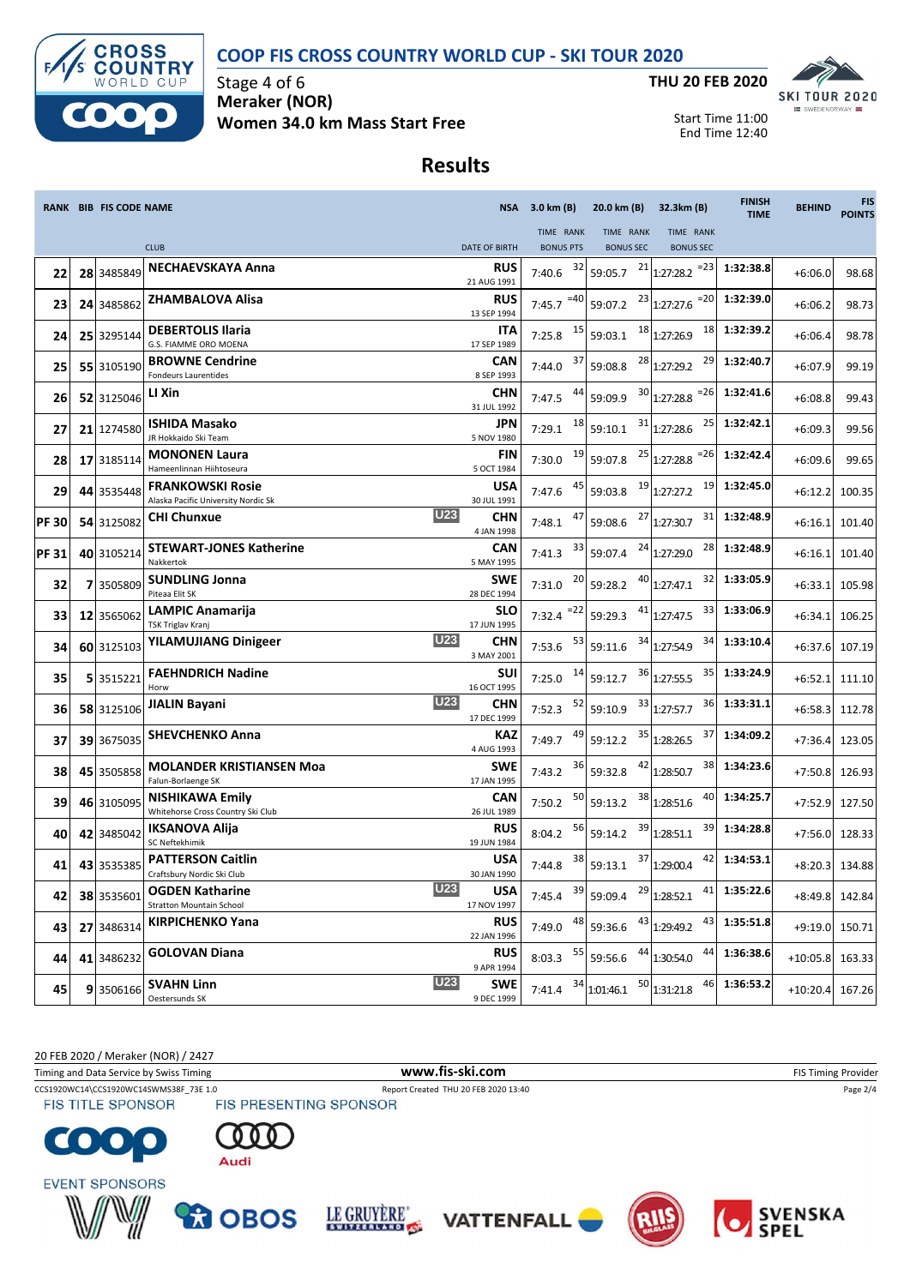### **COOP FIS CROSS COUNTRY WORLD CUP - SKI TOUR 2020**



Stage 4 of 6 **Meraker (NOR) Women 34.0 km Mass Start Free**



Start Time 11:00 End Time 12:40

# **Results**

|             | RANK BIB FIS CODE NAME |                                                                |                                         | NSA 3.0 km (B)   | 20.0 km (B)          | 32.3km (B)                          | <b>FINISH</b><br><b>TIME</b> | <b>BEHIND</b> | <b>FIS</b><br><b>POINTS</b> |
|-------------|------------------------|----------------------------------------------------------------|-----------------------------------------|------------------|----------------------|-------------------------------------|------------------------------|---------------|-----------------------------|
|             |                        |                                                                |                                         | TIME RANK        | TIME RANK            | TIME RANK                           |                              |               |                             |
|             |                        | <b>CLUB</b>                                                    | <b>DATE OF BIRTH</b>                    | <b>BONUS PTS</b> | <b>BONUS SEC</b>     | <b>BONUS SEC</b>                    |                              |               |                             |
| 22          | 28 3485849             | <b>NECHAEVSKAYA Anna</b>                                       | <b>RUS</b><br>21 AUG 1991               | 32<br>7:40.6     | 59:05.7              | $21$ <sub>1:27:28.2</sub><br>$= 23$ | 1:32:38.8                    | $+6:06.0$     | 98.68                       |
| 23          | 24 3485862             | ZHAMBALOVA Alisa                                               | <b>RUS</b><br>13 SEP 1994               | $=40$<br>7:45.7  | 59:07.2              | $23$ <sub>1:27:27.6</sub><br>$= 20$ | 1:32:39.0                    | $+6:06.2$     | 98.73                       |
| 24          | 25 3295144             | <b>DEBERTOLIS Ilaria</b><br>G.S. FIAMME ORO MOENA              | <b>ITA</b><br>17 SEP 1989               | 15<br>7:25.8     | 59:03.1              | $18$ <sub>1:27:26.9</sub><br>18     | 1:32:39.2                    | $+6:06.4$     | 98.78                       |
| 25          | 55 3105190             | <b>BROWNE Cendrine</b><br>Fondeurs Laurentides                 | <b>CAN</b><br>8 SEP 1993                | 37<br>7:44.0     | 59:08.8              | $28$ <sub>1:27:29.2</sub><br>29     | 1:32:40.7                    | $+6:07.9$     | 99.19                       |
| 26          | 52 3125046             | LI Xin                                                         | <b>CHN</b><br>31 JUL 1992               | 44<br>7:47.5     | 59:09.9              | $30$ <sub>1:27:28.8</sub><br>$= 26$ | 1:32:41.6                    | $+6:08.8$     | 99.43                       |
| 27          | 21 1274580             | <b>ISHIDA Masako</b><br>JR Hokkaido Ski Team                   | JPN<br>5 NOV 1980                       | 18<br>7:29.1     | 31<br>59:10.1        | 25<br>1:27:28.6                     | 1:32:42.1                    | $+6:09.3$     | 99.56                       |
| 28          | 17 3185114             | <b>MONONEN Laura</b><br>Hameenlinnan Hiihtoseura               | <b>FIN</b><br>5 OCT 1984                | 19<br>7:30.0     | 59:07.8              | $25$ 1:27:28.8<br>$= 26$            | 1:32:42.4                    | $+6:09.6$     | 99.65                       |
| 29          | 44 3535448             | <b>FRANKOWSKI Rosie</b><br>Alaska Pacific University Nordic Sk | <b>USA</b><br>30 JUL 1991               | 45<br>7:47.6     | 59:03.8              | $19$ <sub>1:27:27.2</sub><br>19     | 1:32:45.0                    | $+6:12.2$     | 100.35                      |
| <b>PF30</b> | 54 3125082             | <b>CHI Chunxue</b>                                             | <b>U23</b><br><b>CHN</b><br>4 JAN 1998  | 47<br>7:48.1     | 59:08.6              | $27$ <sub>1:27:30.7</sub><br>31     | 1:32:48.9                    | $+6:16.1$     | 101.40                      |
| <b>PF31</b> | 40 3105214             | <b>STEWART-JONES Katherine</b><br>Nakkertok                    | CAN<br>5 MAY 1995                       | 33<br>7:41.3     | 59:07.4              | $24$ 1:27:29.0<br>28                | 1:32:48.9                    | $+6:16.1$     | 101.40                      |
| 32          | 7 3505809              | <b>SUNDLING Jonna</b><br>Piteaa Elit SK                        | <b>SWE</b><br>28 DEC 1994               | 20<br>7:31.0     | 59:28.2              | $40$ <sub>1:27:47.1</sub><br>32     | 1:33:05.9                    | $+6:33.1$     | 105.98                      |
| 33          | 12 3565062             | <b>LAMPIC Anamarija</b><br>TSK Triglav Kranj                   | <b>SLO</b><br>17 JUN 1995               | $= 22$<br>7:32.4 | 59:29.3              | 33<br>$41$ <sub>1:27:47.5</sub>     | 1:33:06.9                    | $+6:34.1$     | 106.25                      |
| 34          | 60 3125103             | <b>YILAMUJIANG Dinigeer</b>                                    | <b>U23</b><br><b>CHN</b><br>3 MAY 2001  | 53<br>7:53.6     | 59:11.6              | 34 1:27:54.9<br>34                  | 1:33:10.4                    | $+6:37.6$     | 107.19                      |
| 35          | 5 3515221              | <b>FAEHNDRICH Nadine</b><br>Horw                               | <b>SUI</b><br>16 OCT 1995               | 14<br>7:25.0     | 59:12.7              | 36 1:27:55.5<br>35                  | 1:33:24.9                    | $+6:52.1$     | 111.10                      |
| 36          | 58 3125106             | <b>JIALIN Bayani</b>                                           | <b>U23</b><br><b>CHN</b><br>17 DEC 1999 | 52<br>7:52.3     | 59:10.9              | $33$ 1:27:57.7<br>36                | 1:33:31.1                    | $+6:58.3$     | 112.78                      |
| 37          | 39 3675035             | <b>SHEVCHENKO Anna</b>                                         | <b>KAZ</b><br>4 AUG 1993                | 49<br>7:49.7     | 59:12.2              | $35$ 1:28:26.5<br>37                | 1:34:09.2                    | $+7:36.4$     | 123.05                      |
| 38          | 45 3505858             | <b>MOLANDER KRISTIANSEN Moa</b><br>Falun-Borlaenge SK          | <b>SWE</b><br>17 JAN 1995               | 36<br>7:43.2     | 59:32.8              | $42$ <sub>1:28:50.7</sub><br>38     | 1:34:23.6                    | $+7:50.8$     | 126.93                      |
| 39          | 46 3105095             | <b>NISHIKAWA Emily</b><br>Whitehorse Cross Country Ski Club    | CAN<br>26 JUL 1989                      | 50<br>7:50.2     | 59:13.2              | $38$ <sub>1:28:51.6</sub><br>40     | 1:34:25.7                    | $+7:52.9$     | 127.50                      |
| 40          | 42 3485042             | <b>IKSANOVA Alija</b><br>SC Neftekhimik                        | <b>RUS</b><br>19 JUN 1984               | 56<br>8:04.2     | 59:14.2              | 39<br>$39$ <sub>1:28:51.1</sub>     | 1:34:28.8                    | $+7:56.0$     | 128.33                      |
| 41          | 43 3535385             | <b>PATTERSON Caitlin</b><br>Craftsbury Nordic Ski Club         | USA<br>30 JAN 1990                      | 38<br>7:44.8     | 59:13.1              | $37$ 1:29:00.4<br>42                | 1:34:53.1                    | $+8:20.3$     | 134.88                      |
| 42          | 38 3535601             | <b>OGDEN Katharine</b><br><b>Stratton Mountain School</b>      | <b>U23</b><br><b>USA</b><br>17 NOV 1997 | 7:45.4           | $\frac{39}{59:09.4}$ | $29$ 1:28:52.1<br>41                | 1:35:22.6                    |               | +8:49.8 142.84              |
| 43          | 27 3486314             | <b>KIRPICHENKO Yana</b>                                        | <b>RUS</b><br>22 JAN 1996               | 48<br>7:49.0     | 59:36.6              | $43$ 1:29:49.2<br>43                | 1:35:51.8                    | $+9:19.0$     | 150.71                      |
| 44          | 41 3486232             | <b>GOLOVAN Diana</b>                                           | <b>RUS</b><br>9 APR 1994                | 55<br>8:03.3     | 59:56.6              | 44<br>$44$ 1:30:54.0                | 1:36:38.6                    | $+10:05.8$    | 163.33                      |
| 45          | 9 3506166              | <b>SVAHN Linn</b><br>Oestersunds SK                            | U23<br><b>SWE</b><br>9 DEC 1999         | 34<br>7:41.4     | 1:01:46.1            | $50$ <sub>1:31:21.8</sub><br>46     | 1:36:53.2                    | $+10:20.4$    | 167.26                      |

20 FEB 2020 / Meraker (NOR) / 2427

Timing and Data Service by Swiss Timing **WWW.fis-Ski.com WWW.fis-Ski.com** FIS Timing Provider

**FIS TITLE SPONSOR** 

CCS1920WC14\CCS1920WC14SWMS38F\_73E 1.0 Report Created THU 20 FEB 2020 13:40 Page 2/4 Page 2/4<br>
FIS TITLE SPONSOR FIS PRESENTING SPONSOR















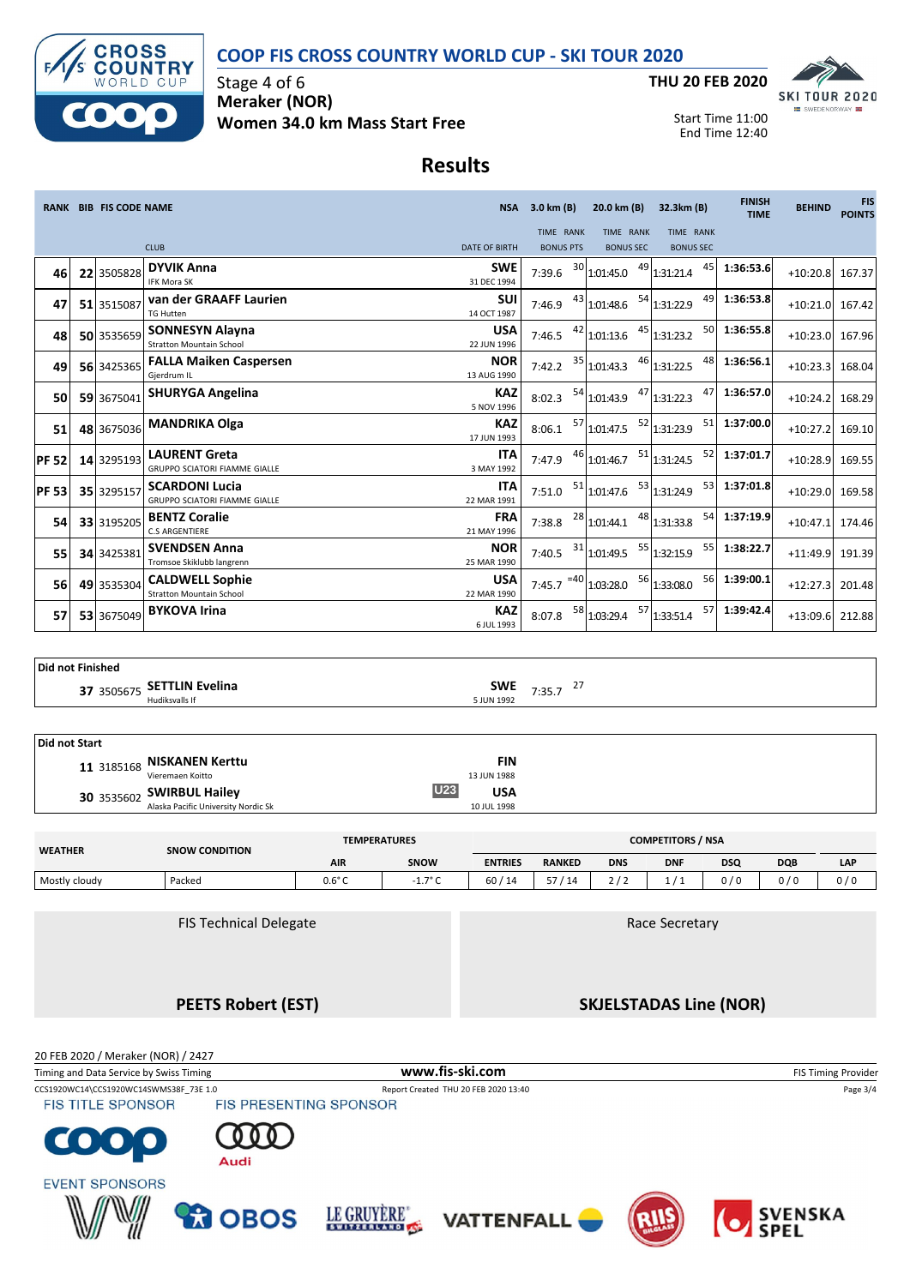## **COOP FIS CROSS COUNTRY WORLD CUP - SKI TOUR 2020**



Stage 4 of 6 **Meraker (NOR) Women 34.0 km Mass Start Free**



Start Time 11:00 End Time 12:40

# **Results**

|              | <b>RANK BIB FIS CODE NAME</b> |                                                               |                           | NSA 3.0 km (B)                |    | 20.0 km (B)                                | 32.3km (B)                    | <b>FINISH</b><br><b>TIME</b> | <b>BEHIND</b>     | <b>FIS</b><br><b>POINTS</b> |
|--------------|-------------------------------|---------------------------------------------------------------|---------------------------|-------------------------------|----|--------------------------------------------|-------------------------------|------------------------------|-------------------|-----------------------------|
|              |                               | <b>CLUB</b>                                                   | <b>DATE OF BIRTH</b>      | TIME RANK<br><b>BONUS PTS</b> |    | TIME RANK<br><b>BONUS SEC</b>              | TIME RANK<br><b>BONUS SEC</b> |                              |                   |                             |
| 46           | 22 3505828                    | <b>DYVIK Anna</b><br><b>IFK Mora SK</b>                       | <b>SWE</b><br>31 DEC 1994 | 7:39.6                        | 30 | 1:01:45.0                                  | $49$ 1:31:21.4<br>45          | 1:36:53.6                    | +10:20.8 167.37   |                             |
| 47           | 51 3515087                    | van der GRAAFF Laurien<br><b>TG Hutten</b>                    | <b>SUI</b><br>14 OCT 1987 | 7:46.9                        |    | $43$ 1:01:48.6                             | 49<br>54 1:31:22.9            | 1:36:53.8                    | $+10:21.0$ 167.42 |                             |
| 48           | 50 3535659                    | <b>SONNESYN Alayna</b><br><b>Stratton Mountain School</b>     | <b>USA</b><br>22 JUN 1996 |                               |    | 7:46.5 $^{42}$ 1:01:13.6 $^{45}$ 1:31:23.2 |                               | 50 1:36:55.8                 | +10:23.0 167.96   |                             |
| 49           | 56 3425365                    | <b>FALLA Maiken Caspersen</b><br>Gjerdrum IL                  | <b>NOR</b><br>13 AUG 1990 | 7:42.2                        |    | 35 1:01:43.3                               | 46 1:31:22.5<br>48            | 1:36:56.1                    | +10:23.3 168.04   |                             |
| 50           | 59 3675041                    | <b>SHURYGA Angelina</b>                                       | <b>KAZ</b><br>5 NOV 1996  | 8:02.3                        |    | <sup>54</sup> 1:01:43.9                    | 47<br>$47$ 1:31:22.3          | 1:36:57.0                    | +10:24.2 168.29   |                             |
| 51           | 48 3675036                    | <b>MANDRIKA Olga</b>                                          | <b>KAZ</b><br>17 JUN 1993 | 8:06.1                        |    | 57 1:01:47.5                               | 52 1:31:23.9                  | 51 1:37:00.0                 | $+10:27.2$        | 169.10                      |
| <b>PF 52</b> | 14 3295193                    | <b>LAURENT Greta</b><br><b>GRUPPO SCIATORI FIAMME GIALLE</b>  | <b>ITA</b><br>3 MAY 1992  | 7:47.9                        |    | 46 1:01:46.7                               | $51$ 1:31:24.5<br>52          | 1:37:01.7                    | +10:28.9 169.55   |                             |
| <b>PF 53</b> | 35 3295157                    | <b>SCARDONI Lucia</b><br><b>GRUPPO SCIATORI FIAMME GIALLE</b> | <b>ITA</b><br>22 MAR 1991 | 7:51.0                        |    | 51 1:01:47.6                               | 53 1:31:24.9                  | 53 1:37:01.8                 | +10:29.0 169.58   |                             |
| 54           | 33 3195205                    | <b>BENTZ Coralie</b><br><b>C.S ARGENTIERE</b>                 | <b>FRA</b><br>21 MAY 1996 |                               |    | 7:38.8 $^{28}$ 1:01:44.1                   | 48 1:31:33.8                  | 54 1:37:19.9                 | $+10:47.1$ 174.46 |                             |
| 55           | 34 3425381                    | <b>SVENDSEN Anna</b><br>Tromsoe Skiklubb langrenn             | <b>NOR</b><br>25 MAR 1990 | 7:40.5                        |    | $31$ 1:01:49.5                             | 55 1:32:15.9<br>55            | 1:38:22.7                    | +11:49.9 191.39   |                             |
| 56           | 49 3535304                    | <b>CALDWELL Sophie</b><br><b>Stratton Mountain School</b>     | <b>USA</b><br>22 MAR 1990 |                               |    | 7:45.7 $^{-40}$ 1:03:28.0                  | 56 1:33:08.0                  | 56 1:39:00.1                 | $+12:27.3$        | 201.48                      |
| 57           | 53 3675049                    | <b>BYKOVA Irina</b>                                           | <b>KAZ</b><br>6 JUL 1993  |                               |    | $8:07.8$ <sup>58</sup> 1:03:29.4           | $\frac{57}{1:33:51.4}$        | 57 1:39:42.4                 | +13:09.6 212.88   |                             |

### **Did not Finished**

**SWE SETTLIN Evelina**<br>
Hudiksvalls If 5 JUN 1992 5 JUN 1992 5 Hudiksvalls If

| Did not Start |                                     |                          |
|---------------|-------------------------------------|--------------------------|
|               | 11 3185168 NISKANEN Kerttu          | <b>FIN</b>               |
|               | Vieremaen Koitto                    | 13 JUN 1988              |
|               | 30 3535602 SWIRBUL Hailey           | <b>U23</b><br><b>USA</b> |
|               | Alaska Pacific University Nordic Sk | 10 JUL 1998              |

| <b>WEATHER</b> | <b>SNOW CONDITION</b> | <b>TEMPERATURES</b> |                  |                | <b>COMPETITORS / NSA</b> |                 |            |            |            |       |  |
|----------------|-----------------------|---------------------|------------------|----------------|--------------------------|-----------------|------------|------------|------------|-------|--|
|                |                       | <b>AIR</b>          | SNOW             | <b>ENTRIES</b> | <b>RANKED</b>            | <b>DNS</b>      | <b>DNF</b> | <b>DSQ</b> | <b>DQB</b> | LAP   |  |
| Mostly cloudy  | Packed                | 0.6° C              | $-1.7^{\circ}$ C | 60/14          | 57<br>14                 | $\cdots$<br>ر ے |            | 0 / 0      | 0/0        | 0 / 0 |  |

FIS Technical Delegate

**PEETS Robert (EST)**

Race Secretary

**SKJELSTADAS Line (NOR)**

20 FEB 2020 / Meraker (NOR) / 2427

| Timing and Data Service by Swiss Timing              |                               |                                | www.fis-ski.com                      | <b>FIS Timing Provider</b> |                |  |
|------------------------------------------------------|-------------------------------|--------------------------------|--------------------------------------|----------------------------|----------------|--|
| CCS1920WC14\CCS1920WC14SWMS38F 73E 1.0               |                               |                                | Report Created THU 20 FEB 2020 13:40 |                            | Page 3/4       |  |
| <b>FIS TITLE SPONSOR</b>                             | <b>FIS PRESENTING SPONSOR</b> |                                |                                      |                            |                |  |
| 6000                                                 | Audi                          |                                |                                      |                            |                |  |
| <b>EVENT SPONSORS</b><br>$\overline{\boldsymbol{u}}$ | <b>RA OBOS</b>                | LE GRUYERE"<br>SWITZERLAND LOG | <b>VATTENFALL</b>                    |                            | <b>SVENSKA</b> |  |